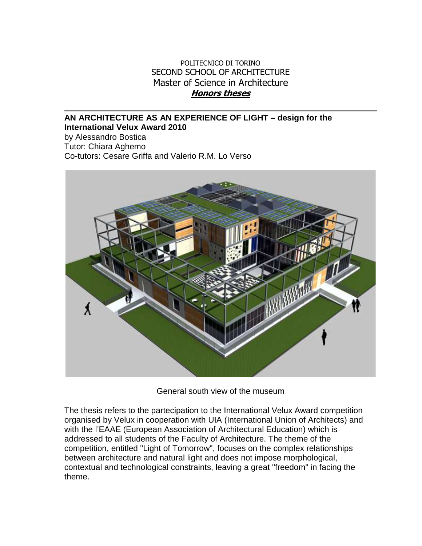## POLITECNICO DI TORINO SECOND SCHOOL OF ARCHITECTURE Master of Science in Architecture **Honors theses**

## **AN ARCHITECTURE AS AN EXPERIENCE OF LIGHT – design for the International Velux Award 2010**

by Alessandro Bostica Tutor: Chiara Aghemo Co-tutors: Cesare Griffa and Valerio R.M. Lo Verso



General south view of the museum

The thesis refers to the partecipation to the International Velux Award competition organised by Velux in cooperation with UIA (International Union of Architects) and with the l'EAAE (European Association of Architectural Education) which is addressed to all students of the Faculty of Architecture. The theme of the competition, entitled "Light of Tomorrow", focuses on the complex relationships between architecture and natural light and does not impose morphological, contextual and technological constraints, leaving a great "freedom" in facing the theme.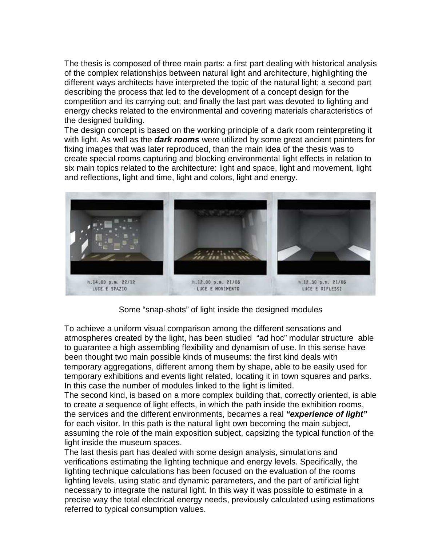The thesis is composed of three main parts: a first part dealing with historical analysis of the complex relationships between natural light and architecture, highlighting the different ways architects have interpreted the topic of the natural light; a second part describing the process that led to the development of a concept design for the competition and its carrying out; and finally the last part was devoted to lighting and energy checks related to the environmental and covering materials characteristics of the designed building.

The design concept is based on the working principle of a dark room reinterpreting it with light. As well as the **dark rooms** were utilized by some great ancient painters for fixing images that was later reproduced, than the main idea of the thesis was to create special rooms capturing and blocking environmental light effects in relation to six main topics related to the architecture: light and space, light and movement, light and reflections, light and time, light and colors, light and energy.



Some "snap-shots" of light inside the designed modules

To achieve a uniform visual comparison among the different sensations and atmospheres created by the light, has been studied "ad hoc" modular structure able to guarantee a high assembling flexibility and dynamism of use. In this sense have been thought two main possible kinds of museums: the first kind deals with temporary aggregations, different among them by shape, able to be easily used for temporary exhibitions and events light related, locating it in town squares and parks. In this case the number of modules linked to the light is limited.

The second kind, is based on a more complex building that, correctly oriented, is able to create a sequence of light effects, in which the path inside the exhibition rooms, the services and the different environments, becames a real **"experience of light"** for each visitor. In this path is the natural light own becoming the main subject, assuming the role of the main exposition subject, capsizing the typical function of the light inside the museum spaces.

The last thesis part has dealed with some design analysis, simulations and verifications estimating the lighting technique and energy levels. Specifically, the lighting technique calculations has been focused on the evaluation of the rooms lighting levels, using static and dynamic parameters, and the part of artificial light necessary to integrate the natural light. In this way it was possible to estimate in a precise way the total electrical energy needs, previously calculated using estimations referred to typical consumption values.